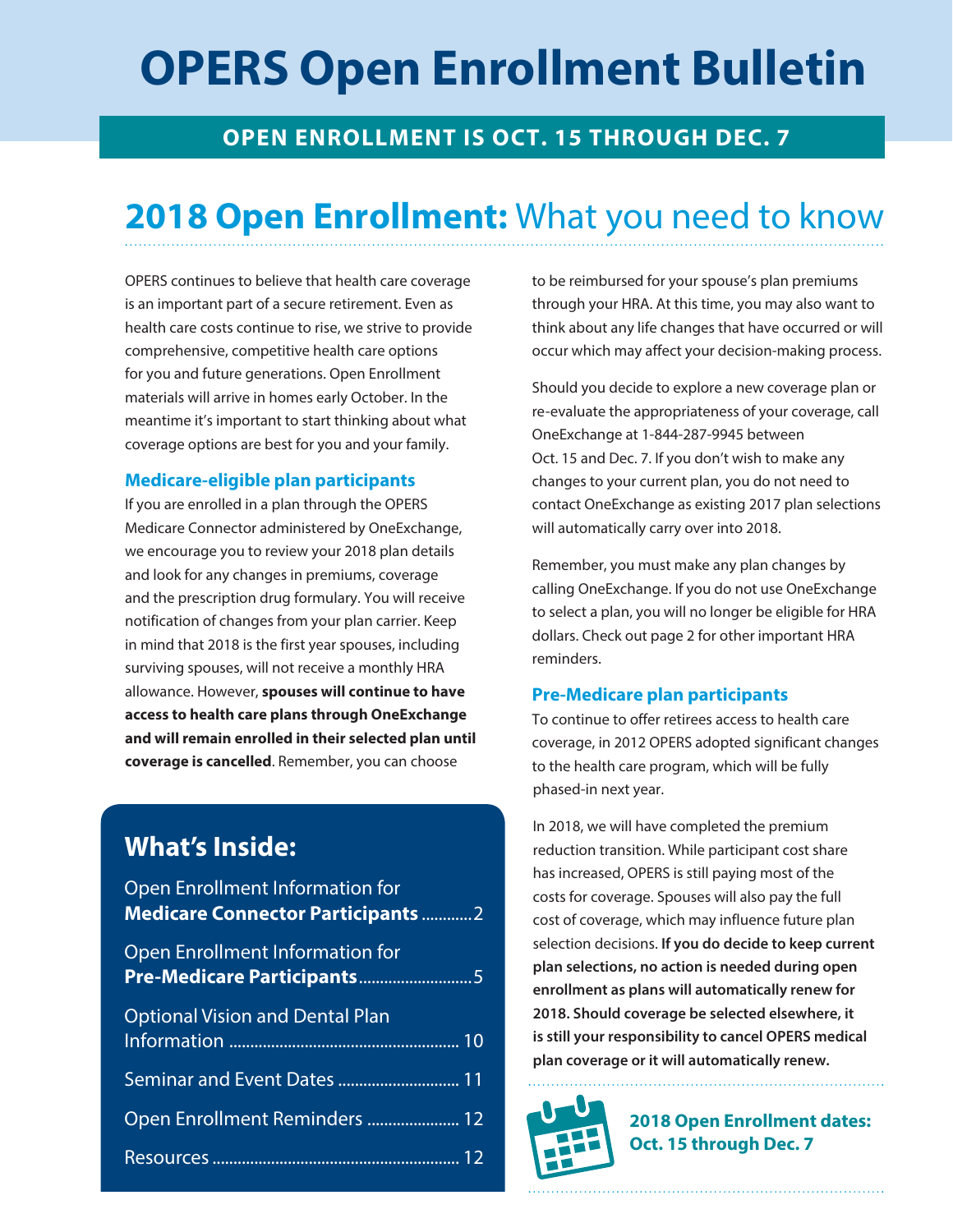## **OPERS Open Enrollment Bulletin**

## **OPEN ENROLLMENT IS OCT. 15 THROUGH DEC. 7**

## **2018 Open Enrollment:** What you need to know

OPERS continues to believe that health care coverage is an important part of a secure retirement. Even as health care costs continue to rise, we strive to provide comprehensive, competitive health care options for you and future generations. Open Enrollment materials will arrive in homes early October. In the meantime it's important to start thinking about what coverage options are best for you and your family.

#### **Medicare-eligible plan participants**

If you are enrolled in a plan through the OPERS Medicare Connector administered by OneExchange, we encourage you to review your 2018 plan details and look for any changes in premiums, coverage and the prescription drug formulary. You will receive notification of changes from your plan carrier. Keep in mind that 2018 is the first year spouses, including surviving spouses, will not receive a monthly HRA allowance. However, **spouses will continue to have access to health care plans through OneExchange and will remain enrolled in their selected plan until coverage is cancelled**. Remember, you can choose

## **What's Inside:**

| Open Enrollment Information for<br><b>Medicare Connector Participants  2</b> |  |
|------------------------------------------------------------------------------|--|
| Open Enrollment Information for<br>Pre-Medicare Participants5                |  |
| <b>Optional Vision and Dental Plan</b>                                       |  |
|                                                                              |  |
| Open Enrollment Reminders  12                                                |  |
|                                                                              |  |

to be reimbursed for your spouse's plan premiums through your HRA. At this time, you may also want to think about any life changes that have occurred or will occur which may affect your decision-making process.

Should you decide to explore a new coverage plan or re-evaluate the appropriateness of your coverage, call OneExchange at 1-844-287-9945 between Oct. 15 and Dec. 7. If you don't wish to make any changes to your current plan, you do not need to contact OneExchange as existing 2017 plan selections will automatically carry over into 2018.

Remember, you must make any plan changes by calling OneExchange. If you do not use OneExchange to select a plan, you will no longer be eligible for HRA dollars. Check out page 2 for other important HRA reminders.

#### **Pre-Medicare plan participants**

To continue to offer retirees access to health care coverage, in 2012 OPERS adopted significant changes to the health care program, which will be fully phased-in next year.

In 2018, we will have completed the premium reduction transition. While participant cost share has increased, OPERS is still paying most of the costs for coverage. Spouses will also pay the full cost of coverage, which may influence future plan selection decisions. **If you do decide to keep current plan selections, no action is needed during open enrollment as plans will automatically renew for 2018. Should coverage be selected elsewhere, it is still your responsibility to cancel OPERS medical plan coverage or it will automatically renew.**



**2018 Open Enrollment dates: Oct. 15 through Dec. 7**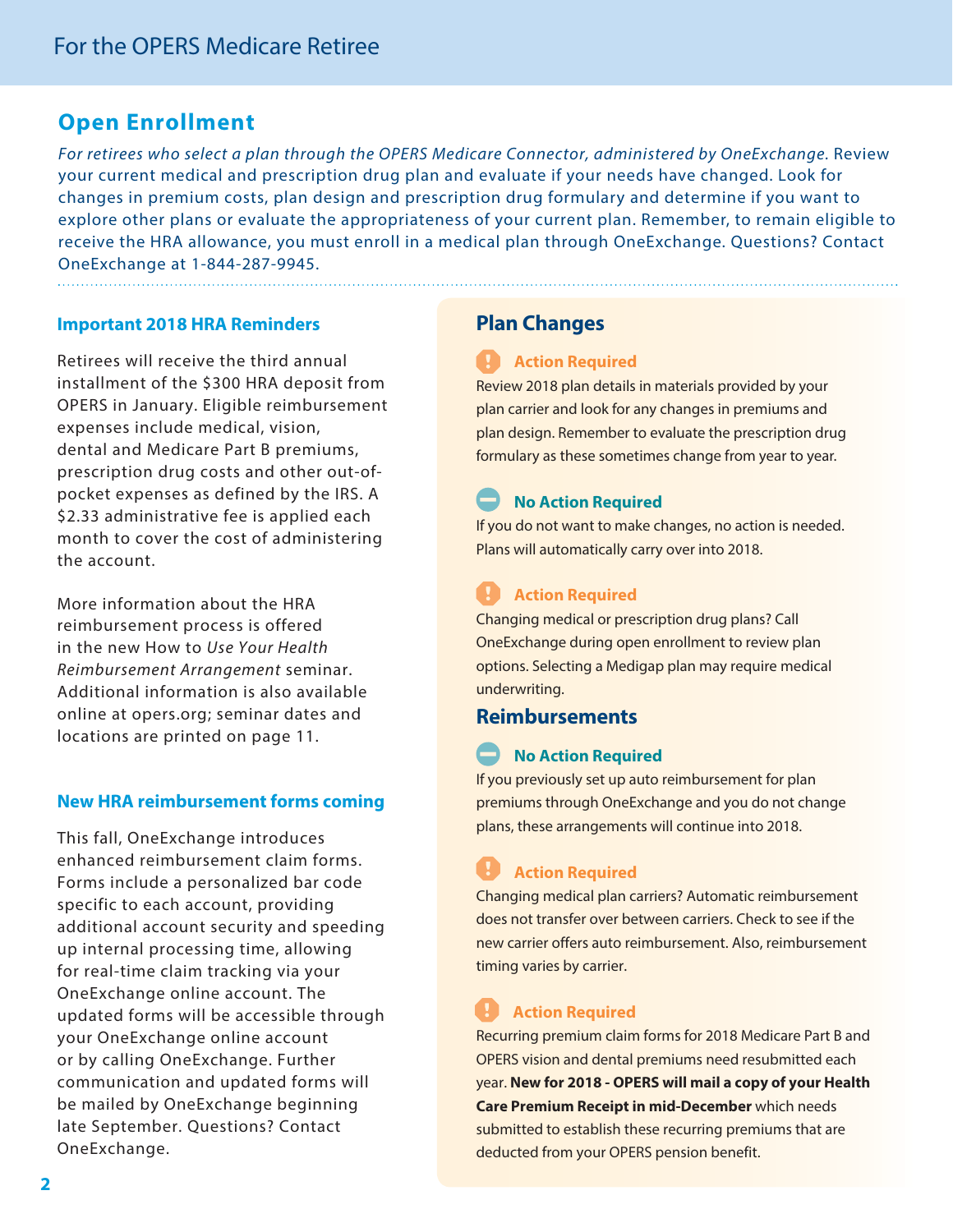### **Open Enrollment**

For retirees who select a plan through the OPERS Medicare Connector, administered by OneExchange. Review your current medical and prescription drug plan and evaluate if your needs have changed. Look for changes in premium costs, plan design and prescription drug formulary and determine if you want to explore other plans or evaluate the appropriateness of your current plan. Remember, to remain eligible to receive the HRA allowance, you must enroll in a medical plan through OneExchange. Questions? Contact OneExchange at 1-844-287-9945.

#### **Important 2018 HRA Reminders**

Retirees will receive the third annual installment of the \$300 HRA deposit from OPERS in January. Eligible reimbursement expenses include medical, vision, dental and Medicare Part B premiums, prescription drug costs and other out-ofpocket expenses as defined by the IRS. A \$2.33 administrative fee is applied each month to cover the cost of administering the account.

More information about the HRA reimbursement process is offered in the new How to Use Your Health Reimbursement Arrangement seminar. Additional information is also available online at opers.org; seminar dates and locations are printed on page 11.

#### **New HRA reimbursement forms coming**

This fall, OneExchange introduces enhanced reimbursement claim forms. Forms include a personalized bar code specific to each account, providing additional account security and speeding up internal processing time, allowing for real-time claim tracking via your OneExchange online account. The updated forms will be accessible through your OneExchange online account or by calling OneExchange. Further communication and updated forms will be mailed by OneExchange beginning late September. Questions? Contact OneExchange.

### **Plan Changes**

#### **Action Required**

Review 2018 plan details in materials provided by your plan carrier and look for any changes in premiums and plan design. Remember to evaluate the prescription drug formulary as these sometimes change from year to year.

#### **No Action Required**

If you do not want to make changes, no action is needed. Plans will automatically carry over into 2018.

### **Action Required**

Changing medical or prescription drug plans? Call OneExchange during open enrollment to review plan options. Selecting a Medigap plan may require medical underwriting.

#### **Reimbursements**

#### **No Action Required**

If you previously set up auto reimbursement for plan premiums through OneExchange and you do not change plans, these arrangements will continue into 2018.

## **Action Required**

Changing medical plan carriers? Automatic reimbursement does not transfer over between carriers. Check to see if the new carrier offers auto reimbursement. Also, reimbursement timing varies by carrier.

### **Action Required**

Recurring premium claim forms for 2018 Medicare Part B and OPERS vision and dental premiums need resubmitted each year. **New for 2018 - OPERS will mail a copy of your Health Care Premium Receipt in mid-December** which needs submitted to establish these recurring premiums that are deducted from your OPERS pension benefit.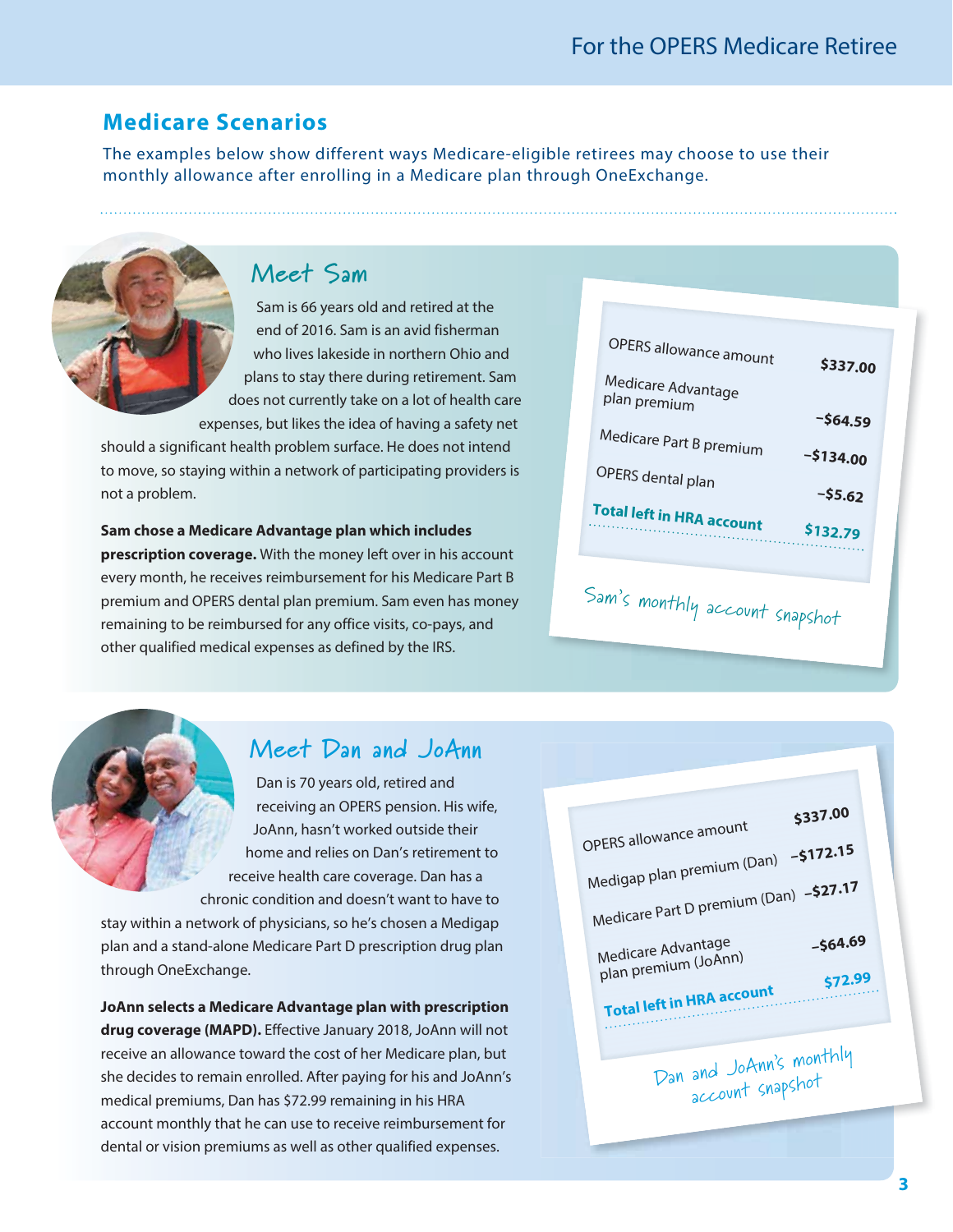## **Medicare Scenarios**

The examples below show different ways Medicare-eligible retirees may choose to use their monthly allowance after enrolling in a Medicare plan through OneExchange.



## **Meet Sam**

Sam is 66 years old and retired at the end of 2016. Sam is an avid fisherman who lives lakeside in northern Ohio and plans to stay there during retirement. Sam does not currently take on a lot of health care expenses, but likes the idea of having a safety net

should a significant health problem surface. He does not intend to move, so staying within a network of participating providers is not a problem.

**Sam chose a Medicare Advantage plan which includes prescription coverage.** With the money left over in his account every month, he receives reimbursement for his Medicare Part B premium and OPERS dental plan premium. Sam even has money remaining to be reimbursed for any office visits, co-pays, and other qualified medical expenses as defined by the IRS.

| OPERS allowance amount             | \$337.00   |
|------------------------------------|------------|
| Medicare Advantage<br>plan premium |            |
|                                    | $-564.59$  |
| Medicare Part B premium            | $-5134.00$ |
| OPERS dental plan                  | $-55.62$   |
| <b>Total left in HRA account</b>   | \$132.79   |
|                                    |            |

# Sam's monthly account snapshot

## **Meet Dan and JoAnn**

Dan is 70 years old, retired and receiving an OPERS pension. His wife, JoAnn, hasn't worked outside their home and relies on Dan's retirement to receive health care coverage. Dan has a chronic condition and doesn't want to have to

stay within a network of physicians, so he's chosen a Medigap plan and a stand-alone Medicare Part D prescription drug plan through OneExchange.

**JoAnn selects a Medicare Advantage plan with prescription drug coverage (MAPD).** Effective January 2018, JoAnn will not receive an allowance toward the cost of her Medicare plan, but she decides to remain enrolled. After paying for his and JoAnn's medical premiums, Dan has \$72.99 remaining in his HRA account monthly that he can use to receive reimbursement for dental or vision premiums as well as other qualified expenses.

| OPERS allowance amount<br>Medigap plan premium (Dan) - \$172.15<br>Medicare Part D premium (Dan) - \$27.17 | \$337.00             |  |
|------------------------------------------------------------------------------------------------------------|----------------------|--|
| Medicare Advantage<br>plan premium (JoAnn)<br><b>Total left in HRA account</b>                             | $-564.69$<br>\$72.99 |  |
| Dan and JoAnn's monthly<br>account snapshot                                                                |                      |  |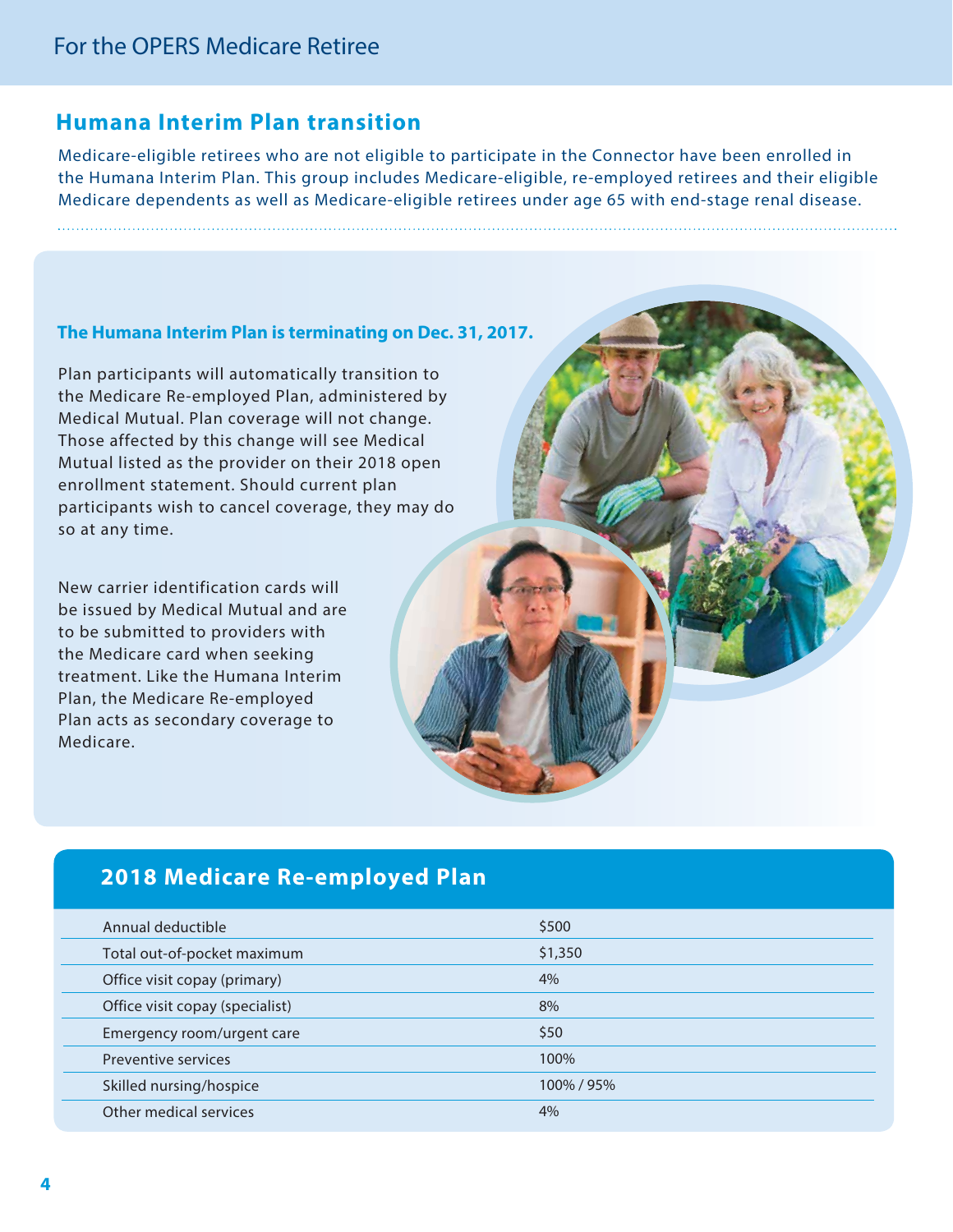### **Humana Interim Plan transition**

Medicare-eligible retirees who are not eligible to participate in the Connector have been enrolled in the Humana Interim Plan. This group includes Medicare-eligible, re-employed retirees and their eligible Medicare dependents as well as Medicare-eligible retirees under age 65 with end-stage renal disease.

#### **The Humana Interim Plan is terminating on Dec. 31, 2017.**

Plan participants will automatically transition to the Medicare Re-employed Plan, administered by Medical Mutual. Plan coverage will not change. Those affected by this change will see Medical Mutual listed as the provider on their 2018 open enrollment statement. Should current plan participants wish to cancel coverage, they may do so at any time.

New carrier identification cards will be issued by Medical Mutual and are to be submitted to providers with the Medicare card when seeking treatment. Like the Humana Interim Plan, the Medicare Re-employed Plan acts as secondary coverage to Medicare.

## **2018 Medicare Re-employed Plan**

| Annual deductible               | \$500      |
|---------------------------------|------------|
| Total out-of-pocket maximum     | \$1,350    |
| Office visit copay (primary)    | 4%         |
| Office visit copay (specialist) | 8%         |
| Emergency room/urgent care      | \$50       |
| Preventive services             | 100%       |
| Skilled nursing/hospice         | 100% / 95% |
| Other medical services          | 4%         |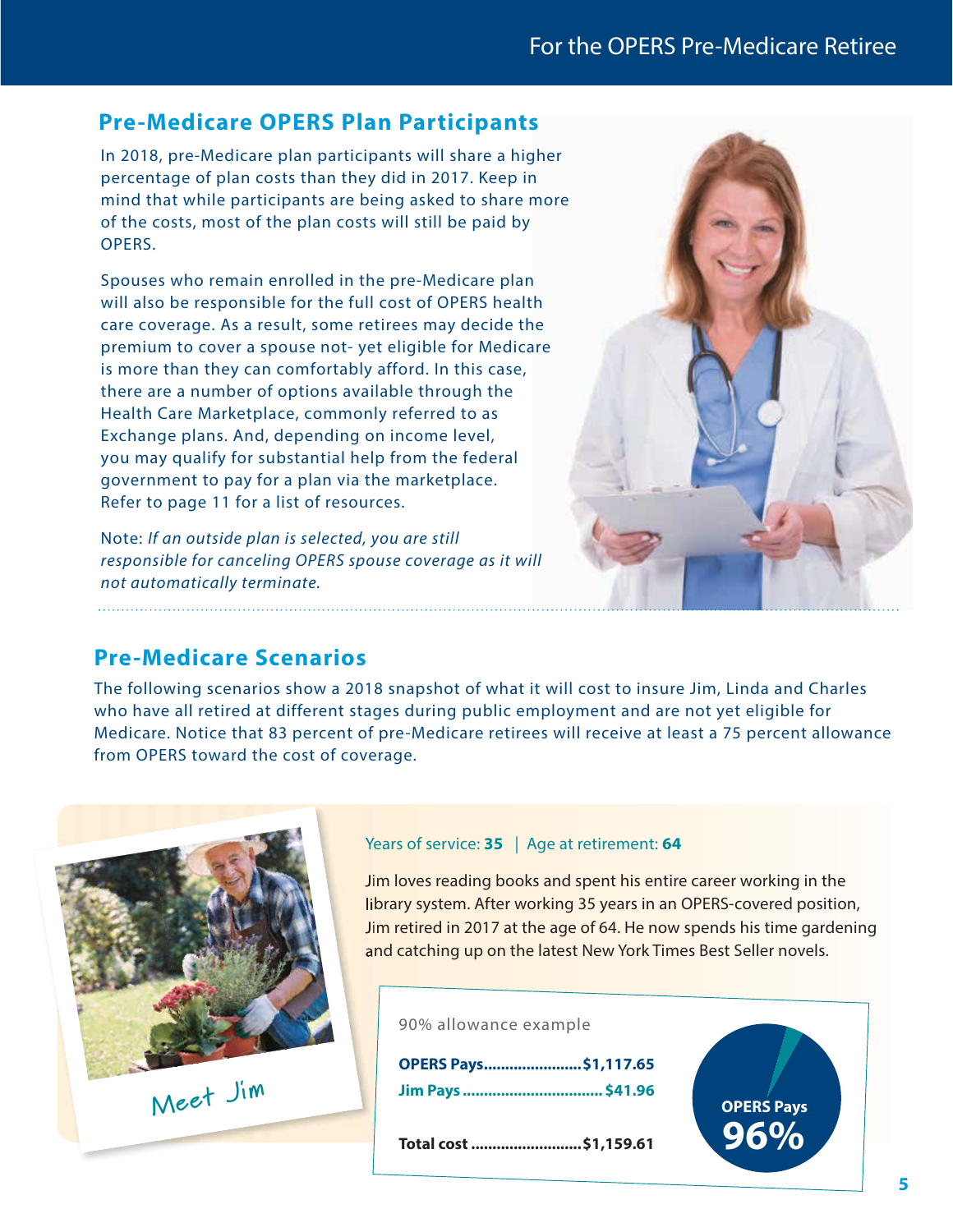## For the OPERS Pre-Medicare Retiree

## **Pre-Medicare OPERS Plan Participants**

In 2018, pre-Medicare plan participants will share a higher percentage of plan costs than they did in 2017. Keep in mind that while participants are being asked to share more of the costs, most of the plan costs will still be paid by OPERS.

Spouses who remain enrolled in the pre-Medicare plan will also be responsible for the full cost of OPERS health care coverage. As a result, some retirees may decide the premium to cover a spouse not- yet eligible for Medicare is more than they can comfortably afford. In this case, there are a number of options available through the Health Care Marketplace, commonly referred to as Exchange plans. And, depending on income level, you may qualify for substantial help from the federal government to pay for a plan via the marketplace. Refer to page 11 for a list of resources.

Note: If an outside plan is selected, you are still responsible for canceling OPERS spouse coverage as it will not automatically terminate.



## **Pre-Medicare Scenarios**

The following scenarios show a 2018 snapshot of what it will cost to insure Jim, Linda and Charles who have all retired at different stages during public employment and are not yet eligible for Medicare. Notice that 83 percent of pre-Medicare retirees will receive at least a 75 percent allowance from OPERS toward the cost of coverage.



#### Years of service: **35** | Age at retirement: **64**

Jim loves reading books and spent his entire career working in the library system. After working 35 years in an OPERS-covered position, Jim retired in 2017 at the age of 64. He now spends his time gardening and catching up on the latest New York Times Best Seller novels.

90% allowance example

**OPERS Pays .......................\$1,117.65 Jim Pays ................................. \$41.96**

**Total cost ..........................\$1,159.61 96%**

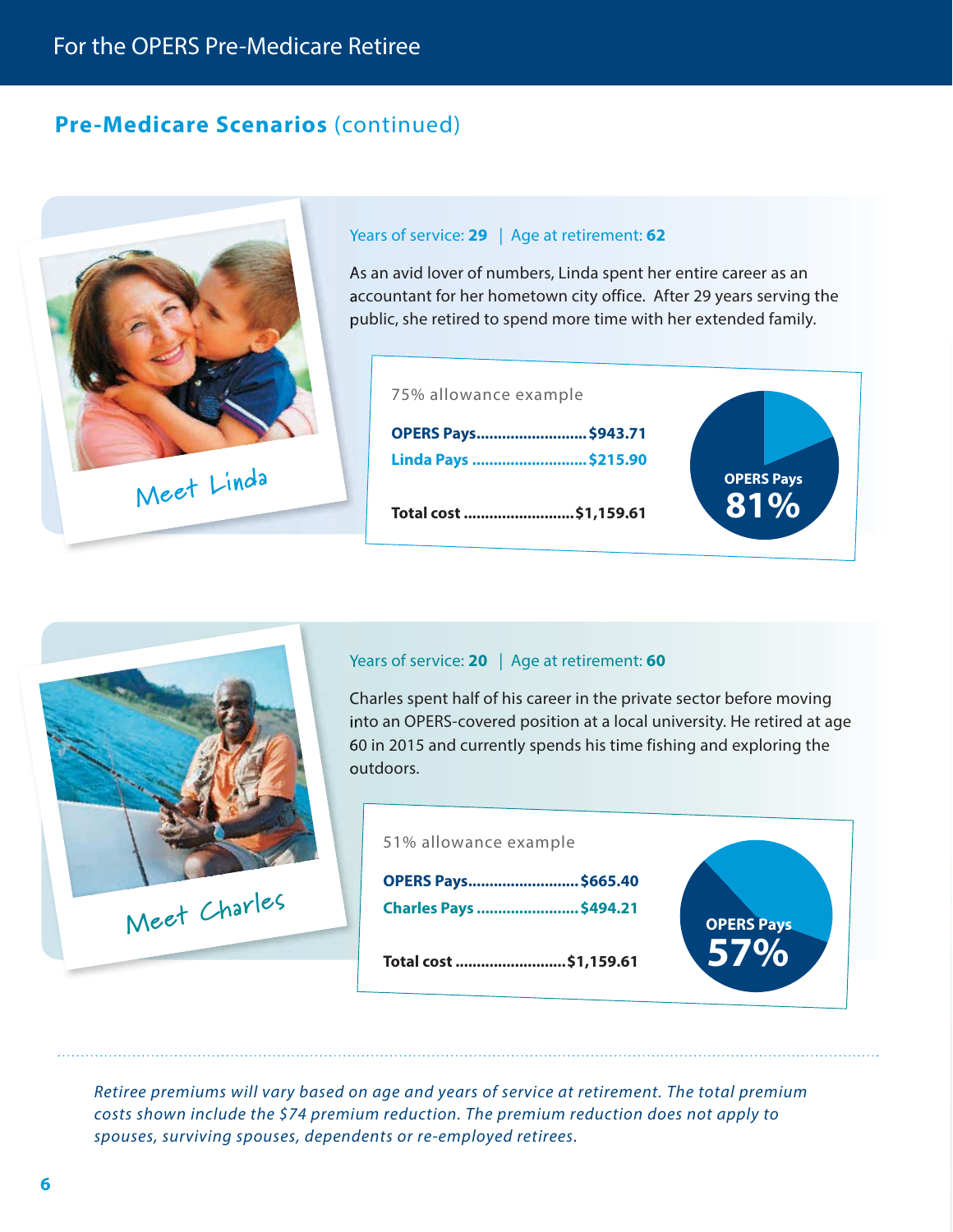## **Pre-Medicare Scenarios** (continued)





#### Years of service: **20** | Age at retirement: **60**

Charles spent half of his career in the private sector before moving into an OPERS-covered position at a local university. He retired at age 60 in 2015 and currently spends his time fishing and exploring the outdoors.



Retiree premiums will vary based on age and years of service at retirement. The total premium costs shown include the \$74 premium reduction. The premium reduction does not apply to spouses, surviving spouses, dependents or re-employed retirees.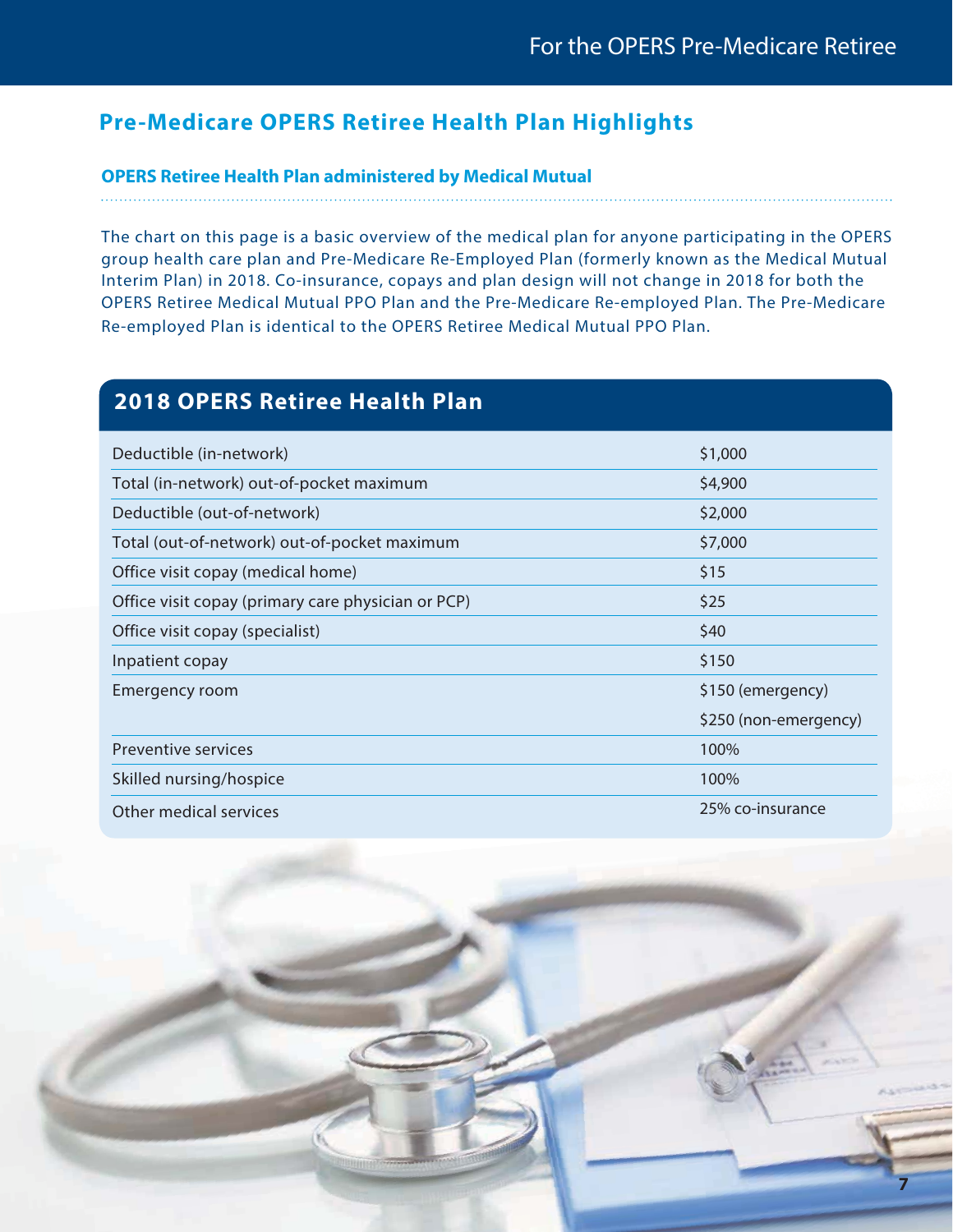**7**

## **Pre-Medicare OPERS Retiree Health Plan Highlights**

#### **OPERS Retiree Health Plan administered by Medical Mutual**

The chart on this page is a basic overview of the medical plan for anyone participating in the OPERS group health care plan and Pre-Medicare Re-Employed Plan (formerly known as the Medical Mutual Interim Plan) in 2018. Co-insurance, copays and plan design will not change in 2018 for both the OPERS Retiree Medical Mutual PPO Plan and the Pre-Medicare Re-employed Plan. The Pre-Medicare Re-employed Plan is identical to the OPERS Retiree Medical Mutual PPO Plan.

## **2018 OPERS Retiree Health Plan**

| Deductible (in-network)                            | \$1,000               |
|----------------------------------------------------|-----------------------|
| Total (in-network) out-of-pocket maximum           | \$4,900               |
| Deductible (out-of-network)                        | \$2,000               |
| Total (out-of-network) out-of-pocket maximum       | \$7,000               |
| Office visit copay (medical home)                  | \$15                  |
| Office visit copay (primary care physician or PCP) | \$25                  |
| Office visit copay (specialist)                    | \$40                  |
| Inpatient copay                                    | \$150                 |
| Emergency room                                     | \$150 (emergency)     |
|                                                    | \$250 (non-emergency) |
| <b>Preventive services</b>                         | 100%                  |
| Skilled nursing/hospice                            | 100%                  |
| Other medical services                             | 25% co-insurance      |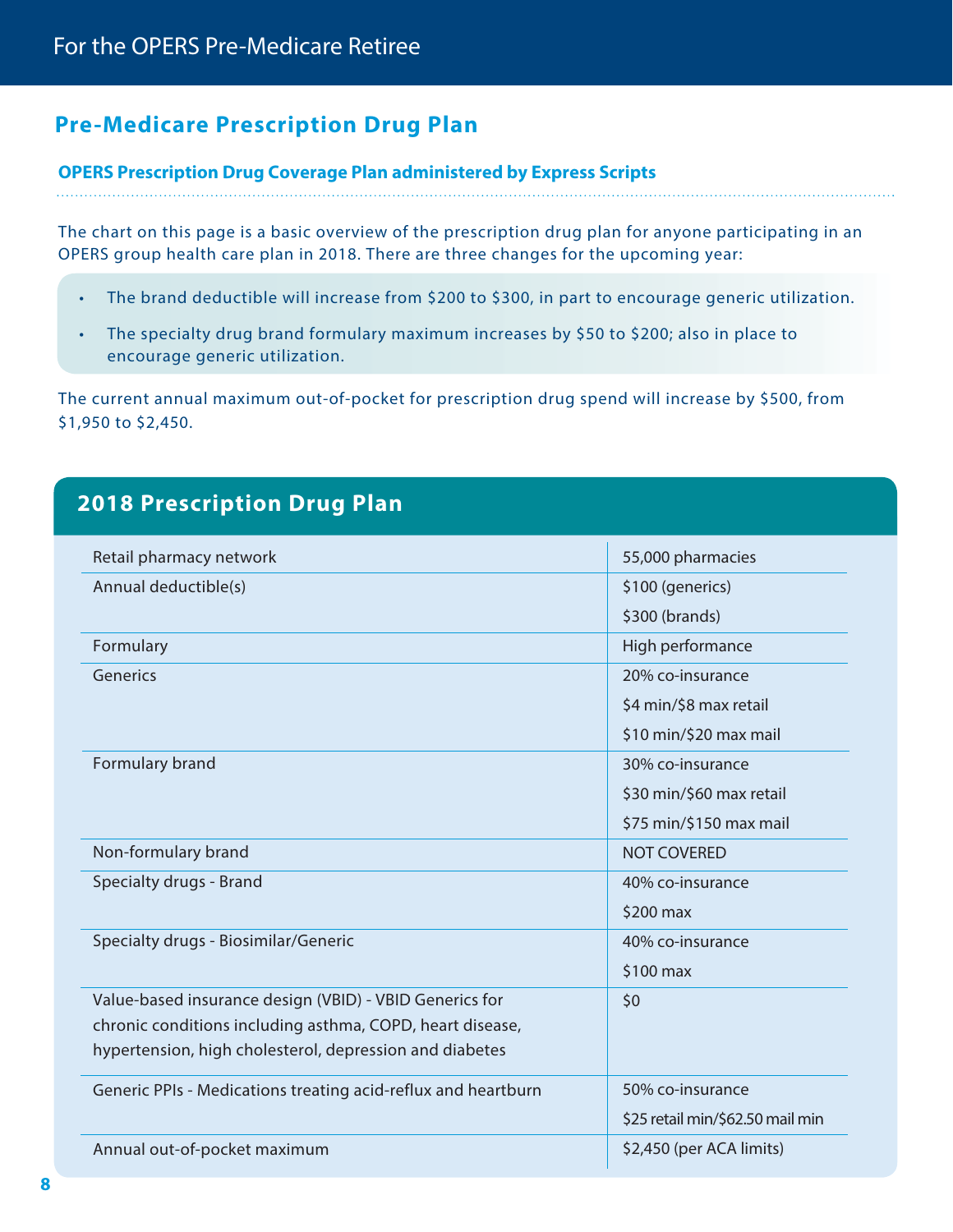## **Pre-Medicare Prescription Drug Plan**

#### **OPERS Prescription Drug Coverage Plan administered by Express Scripts**

The chart on this page is a basic overview of the prescription drug plan for anyone participating in an OPERS group health care plan in 2018. There are three changes for the upcoming year:

- The brand deductible will increase from \$200 to \$300, in part to encourage generic utilization.
- The specialty drug brand formulary maximum increases by \$50 to \$200; also in place to encourage generic utilization.

The current annual maximum out-of-pocket for prescription drug spend will increase by \$500, from \$1,950 to \$2,450.

## **2018 Prescription Drug Plan**

| Retail pharmacy network                                       | 55,000 pharmacies                |
|---------------------------------------------------------------|----------------------------------|
| Annual deductible(s)                                          | \$100 (generics)                 |
|                                                               | \$300 (brands)                   |
| Formulary                                                     | High performance                 |
| Generics                                                      | 20% co-insurance                 |
|                                                               | \$4 min/\$8 max retail           |
|                                                               | \$10 min/\$20 max mail           |
| Formulary brand                                               | 30% co-insurance                 |
|                                                               | \$30 min/\$60 max retail         |
|                                                               | \$75 min/\$150 max mail          |
| Non-formulary brand                                           | <b>NOT COVERED</b>               |
| Specialty drugs - Brand                                       | 40% co-insurance                 |
|                                                               | $$200$ max                       |
| Specialty drugs - Biosimilar/Generic                          | 40% co-insurance                 |
|                                                               | \$100 max                        |
| Value-based insurance design (VBID) - VBID Generics for       | \$0                              |
| chronic conditions including asthma, COPD, heart disease,     |                                  |
| hypertension, high cholesterol, depression and diabetes       |                                  |
| Generic PPIs - Medications treating acid-reflux and heartburn | 50% co-insurance                 |
|                                                               | \$25 retail min/\$62.50 mail min |
| Annual out-of-pocket maximum                                  | \$2,450 (per ACA limits)         |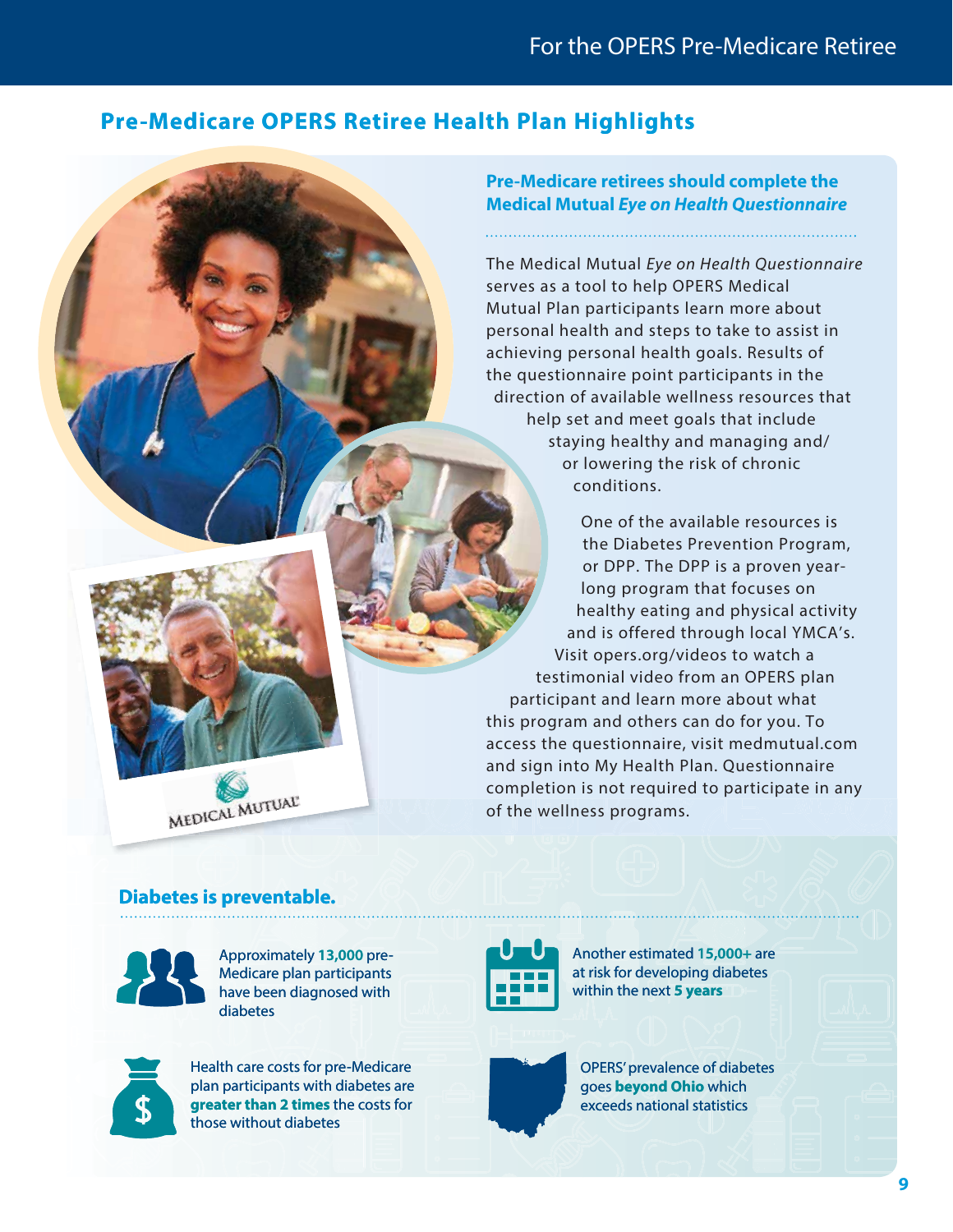## **Pre-Medicare OPERS Retiree Health Plan Highlights**

**Pre-Medicare retirees should complete the Medical Mutual Eye on Health Questionnaire**

The Medical Mutual Eye on Health Questionnaire serves as a tool to help OPERS Medical Mutual Plan participants learn more about personal health and steps to take to assist in achieving personal health goals. Results of the questionnaire point participants in the direction of available wellness resources that help set and meet goals that include staying healthy and managing and/ or lowering the risk of chronic conditions.

One of the available resources is the Diabetes Prevention Program, or DPP. The DPP is a proven yearlong program that focuses on healthy eating and physical activity and is offered through local YMCA's. Visit opers.org/videos to watch a testimonial video from an OPERS plan participant and learn more about what this program and others can do for you. To access the questionnaire, visit medmutual.com and sign into My Health Plan. Questionnaire completion is not required to participate in any of the wellness programs.

#### **Diabetes is preventable.**

MEDICAL MUTUAL



Approximately **13,000** pre-Medicare plan participants have been diagnosed with diabetes



Health care costs for pre-Medicare plan participants with diabetes are **greater than 2 times** the costs for those without diabetes



Another estimated **15,000+** are at risk for developing diabetes within the next **5 years**



OPERS' prevalence of diabetes goes **beyond Ohio** which exceeds national statistics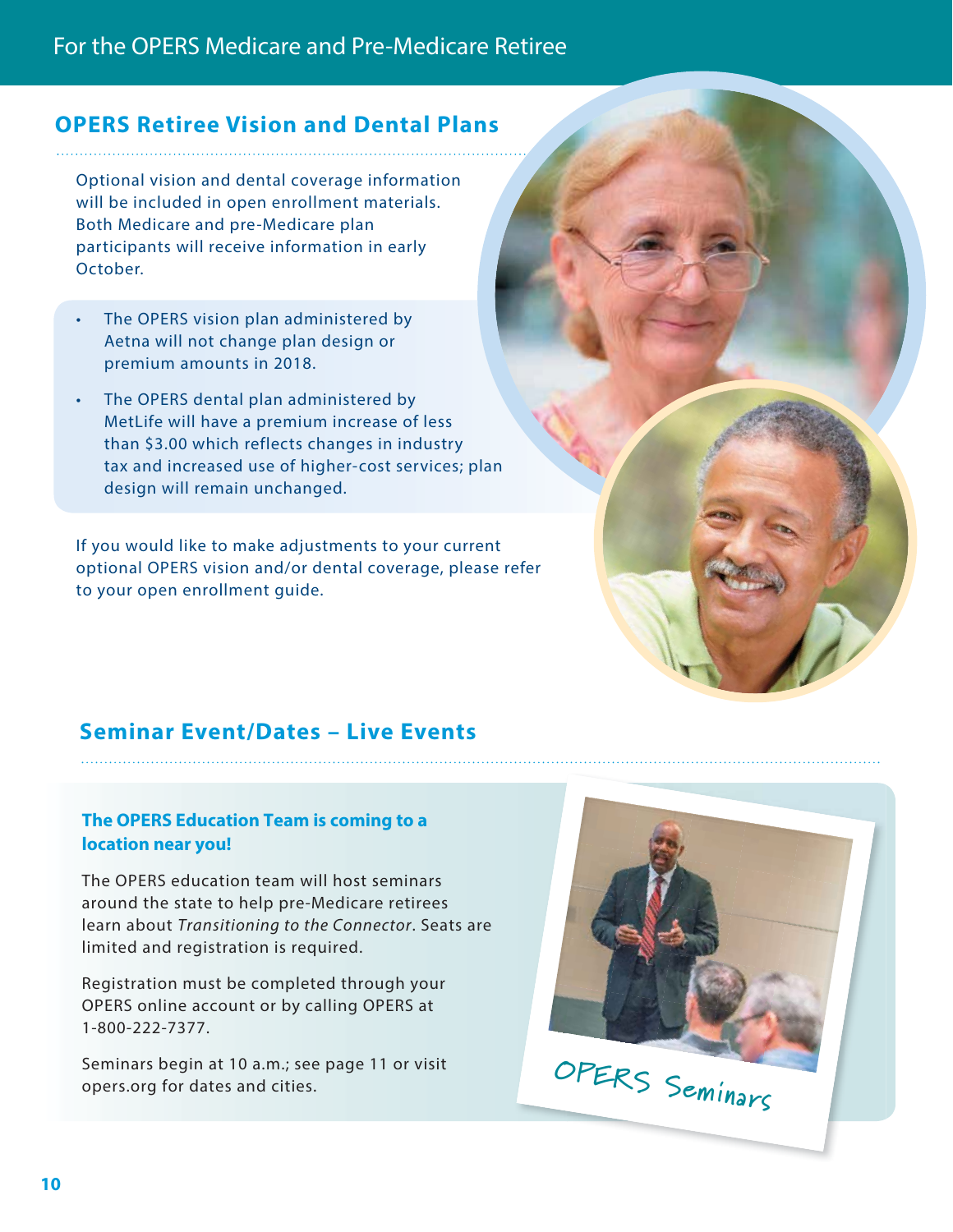## **OPERS Retiree Vision and Dental Plans**

Optional vision and dental coverage information will be included in open enrollment materials. Both Medicare and pre-Medicare plan participants will receive information in early October.

- The OPERS vision plan administered by Aetna will not change plan design or premium amounts in 2018.
- The OPERS dental plan administered by MetLife will have a premium increase of less than \$3.00 which reflects changes in industry tax and increased use of higher-cost services; plan design will remain unchanged.

If you would like to make adjustments to your current optional OPERS vision and/or dental coverage, please refer to your open enrollment guide.

## **Seminar Event/Dates – Live Events**

#### **The OPERS Education Team is coming to a location near you!**

The OPERS education team will host seminars around the state to help pre-Medicare retirees learn about Transitioning to the Connector. Seats are limited and registration is required.

Registration must be completed through your OPERS online account or by calling OPERS at 1-800-222-7377.

Seminars begin at 10 a.m.; see page 11 or visit

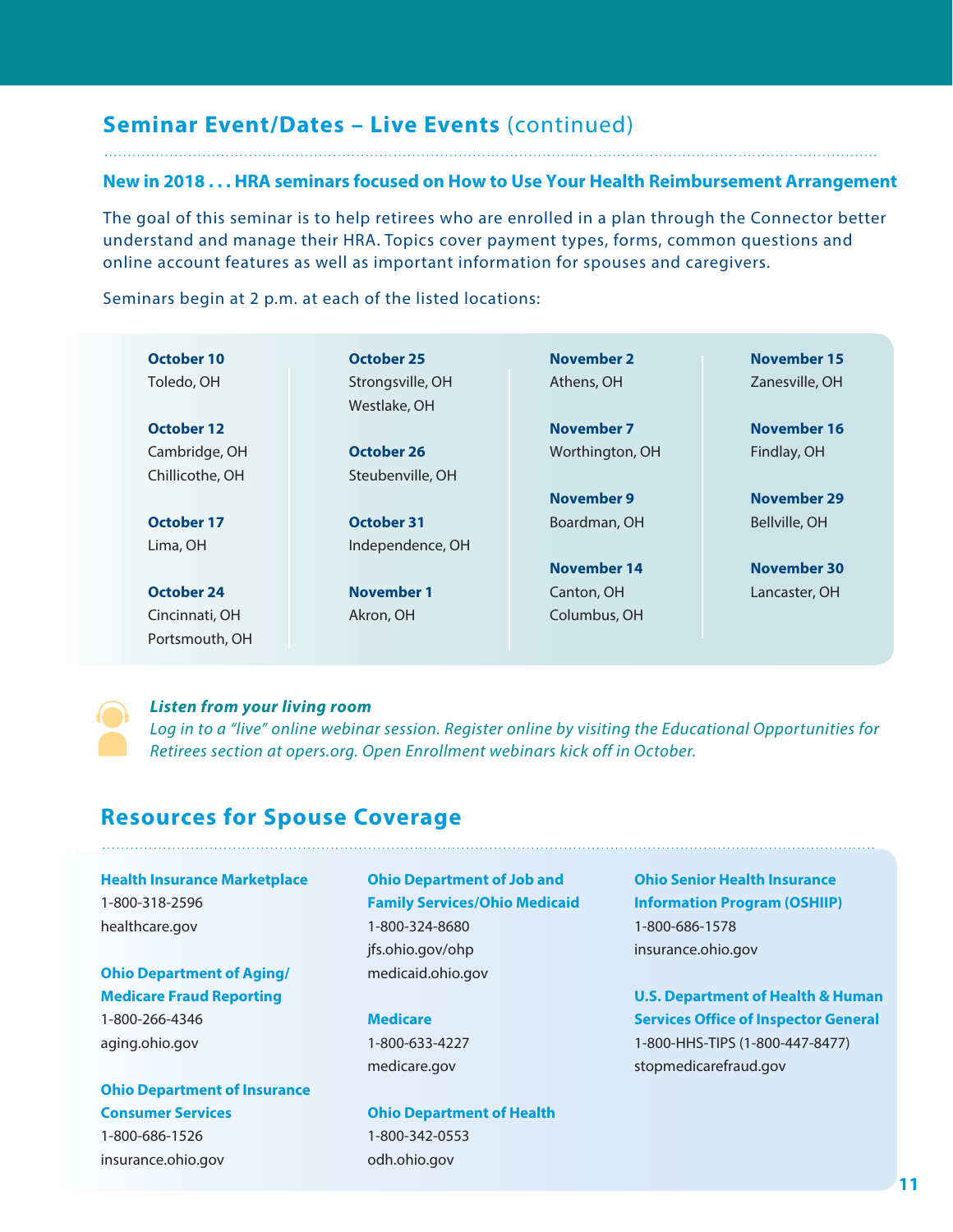## **Seminar Event/Dates – Live Events** (continued)

#### **New in 2018 . . . HRA seminars focused on How to Use Your Health Reimbursement Arrangement**

The goal of this seminar is to help retirees who are enrolled in a plan through the Connector better understand and manage their HRA. Topics cover payment types, forms, common questions and online account features as well as important information for spouses and caregivers.

Seminars begin at 2 p.m. at each of the listed locations:

| October 10      | October 25        | <b>November 2</b> | November 15    |
|-----------------|-------------------|-------------------|----------------|
| Toledo, OH      | Strongsville, OH  | Athens, OH        | Zanesville, OH |
|                 | Westlake, OH      |                   |                |
| October 12      |                   | November 7        | November 16    |
| Cambridge, OH   | October 26        | Worthington, OH   | Findlay, OH    |
| Chillicothe, OH | Steubenville, OH  |                   |                |
|                 |                   | November 9        | November 29    |
| October 17      | <b>October 31</b> | Boardman, OH      | Bellville, OH  |
| Lima, OH        | Independence, OH  |                   |                |
|                 |                   | November 14       | November 30    |
| October 24      | November 1        | Canton, OH        | Lancaster, OH  |
| Cincinnati, OH  | Akron, OH         | Columbus, OH      |                |
| Portsmouth, OH  |                   |                   |                |

**Listen from your living room** Log in to a "live" online webinar session. Register online by visiting the Educational Opportunities for Retirees section at opers.org. Open Enrollment webinars kick off in October.

## **Resources for Spouse Coverage**

## **Health Insurance Marketplace**

1-800-318-2596 healthcare.gov

#### **Ohio Department of Aging/ Medicare Fraud Reporting**

1-800-266-4346 aging.ohio.gov

## **Ohio Department of Insurance Consumer Services**

1-800-686-1526 insurance.ohio.gov

#### **Ohio Department of Job and Family Services/Ohio Medicaid** 1-800-324-8680

jfs.ohio.gov/ohp medicaid.ohio.gov

#### **Medicare**

1-800-633-4227 medicare.gov

#### **Ohio Department of Health** 1-800-342-0553 odh.ohio.gov

**Ohio Senior Health Insurance Information Program (OSHIIP)** 1-800-686-1578 insurance.ohio.gov

**U.S. Department of Health & Human Services Office of Inspector General** 1-800-HHS-TIPS (1-800-447-8477) stopmedicarefraud.gov